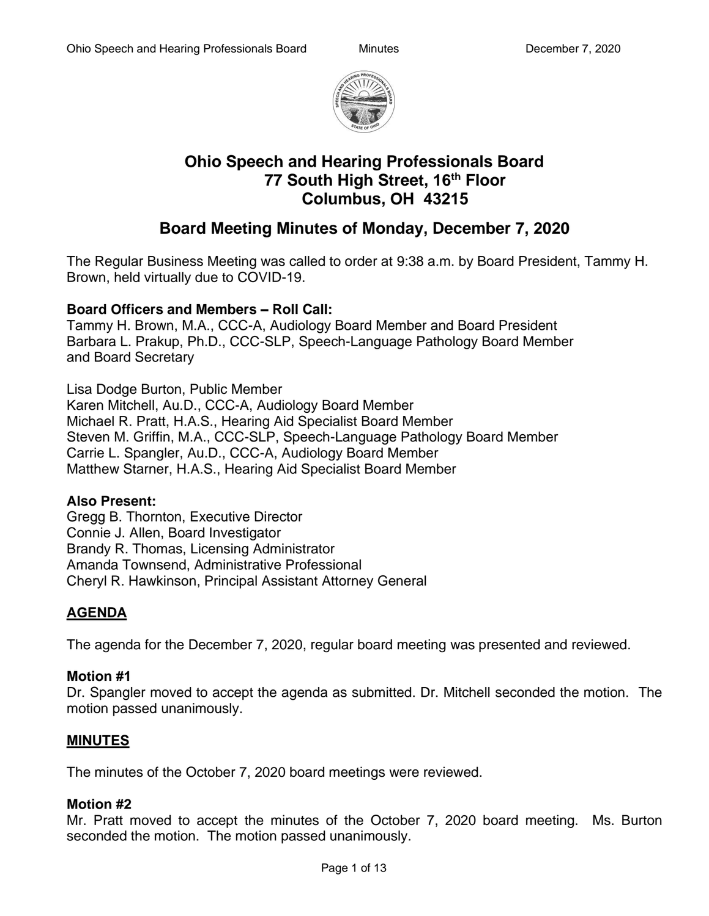

# **Ohio Speech and Hearing Professionals Board 77 South High Street, 16th Floor Columbus, OH 43215**

# **Board Meeting Minutes of Monday, December 7, 2020**

The Regular Business Meeting was called to order at 9:38 a.m. by Board President, Tammy H. Brown, held virtually due to COVID-19.

## **Board Officers and Members – Roll Call:**

Tammy H. Brown, M.A., CCC-A, Audiology Board Member and Board President Barbara L. Prakup, Ph.D., CCC-SLP, Speech-Language Pathology Board Member and Board Secretary

Lisa Dodge Burton, Public Member Karen Mitchell, Au.D., CCC-A, Audiology Board Member Michael R. Pratt, H.A.S., Hearing Aid Specialist Board Member Steven M. Griffin, M.A., CCC-SLP, Speech-Language Pathology Board Member Carrie L. Spangler, Au.D., CCC-A, Audiology Board Member Matthew Starner, H.A.S., Hearing Aid Specialist Board Member

#### **Also Present:**

Gregg B. Thornton, Executive Director Connie J. Allen, Board Investigator Brandy R. Thomas, Licensing Administrator Amanda Townsend, Administrative Professional Cheryl R. Hawkinson, Principal Assistant Attorney General

## **AGENDA**

The agenda for the December 7, 2020, regular board meeting was presented and reviewed.

#### **Motion #1**

Dr. Spangler moved to accept the agenda as submitted. Dr. Mitchell seconded the motion. The motion passed unanimously.

## **MINUTES**

The minutes of the October 7, 2020 board meetings were reviewed.

#### **Motion #2**

Mr. Pratt moved to accept the minutes of the October 7, 2020 board meeting. Ms. Burton seconded the motion. The motion passed unanimously.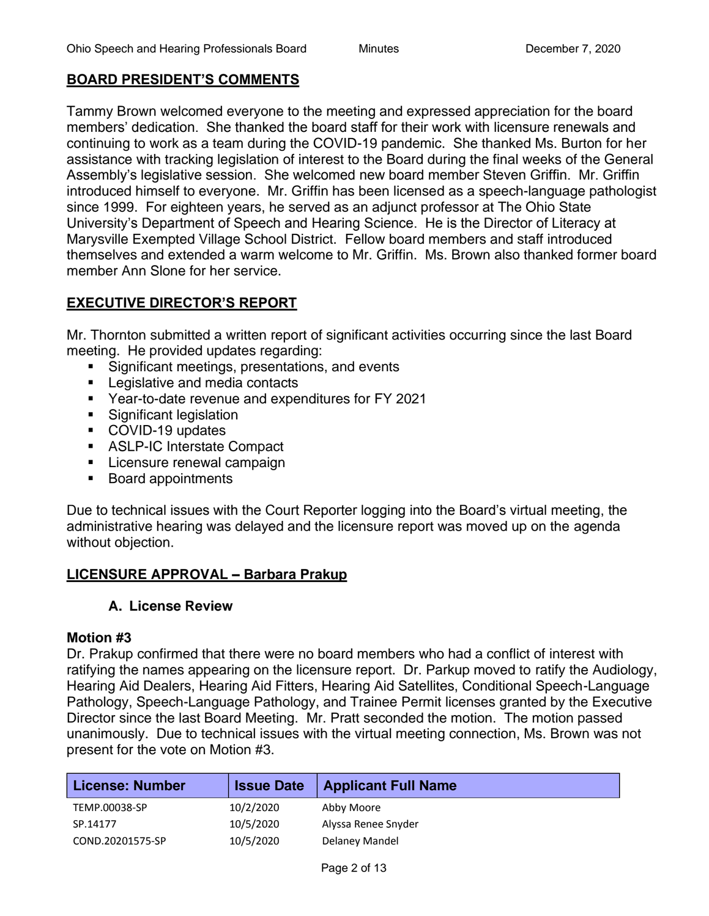## **BOARD PRESIDENT'S COMMENTS**

Tammy Brown welcomed everyone to the meeting and expressed appreciation for the board members' dedication. She thanked the board staff for their work with licensure renewals and continuing to work as a team during the COVID-19 pandemic. She thanked Ms. Burton for her assistance with tracking legislation of interest to the Board during the final weeks of the General Assembly's legislative session. She welcomed new board member Steven Griffin. Mr. Griffin introduced himself to everyone. Mr. Griffin has been licensed as a speech-language pathologist since 1999. For eighteen years, he served as an adjunct professor at The Ohio State University's Department of Speech and Hearing Science. He is the Director of Literacy at Marysville Exempted Village School District. Fellow board members and staff introduced themselves and extended a warm welcome to Mr. Griffin. Ms. Brown also thanked former board member Ann Slone for her service.

## **EXECUTIVE DIRECTOR'S REPORT**

Mr. Thornton submitted a written report of significant activities occurring since the last Board meeting. He provided updates regarding:

- Significant meetings, presentations, and events
- Legislative and media contacts
- Year-to-date revenue and expenditures for FY 2021
- Significant legislation
- COVID-19 updates
- ASLP-IC Interstate Compact
- **EXEC** Licensure renewal campaign
- Board appointments

Due to technical issues with the Court Reporter logging into the Board's virtual meeting, the administrative hearing was delayed and the licensure report was moved up on the agenda without objection.

## **LICENSURE APPROVAL – Barbara Prakup**

#### **A. License Review**

#### **Motion #3**

Dr. Prakup confirmed that there were no board members who had a conflict of interest with ratifying the names appearing on the licensure report. Dr. Parkup moved to ratify the Audiology, Hearing Aid Dealers, Hearing Aid Fitters, Hearing Aid Satellites, Conditional Speech-Language Pathology, Speech-Language Pathology, and Trainee Permit licenses granted by the Executive Director since the last Board Meeting. Mr. Pratt seconded the motion. The motion passed unanimously. Due to technical issues with the virtual meeting connection, Ms. Brown was not present for the vote on Motion #3.

| <b>License: Number</b> | <b>Issue Date</b> | <b>Applicant Full Name</b> |
|------------------------|-------------------|----------------------------|
| TEMP.00038-SP          | 10/2/2020         | Abby Moore                 |
| SP.14177               | 10/5/2020         | Alyssa Renee Snyder        |
| COND.20201575-SP       | 10/5/2020         | Delaney Mandel             |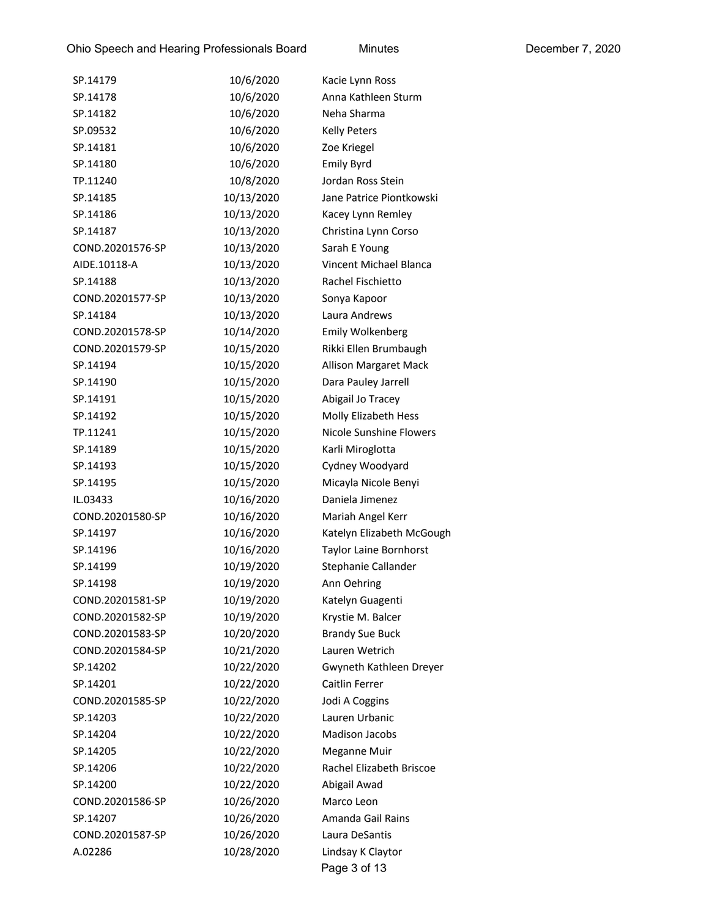| SP.14179         | 10/6/2020  | Kacie Lynn Ross               |
|------------------|------------|-------------------------------|
| SP.14178         | 10/6/2020  | Anna Kathleen Sturm           |
| SP.14182         | 10/6/2020  | Neha Sharma                   |
| SP.09532         | 10/6/2020  | <b>Kelly Peters</b>           |
| SP.14181         | 10/6/2020  | Zoe Kriegel                   |
| SP.14180         | 10/6/2020  | <b>Emily Byrd</b>             |
| TP.11240         | 10/8/2020  | Jordan Ross Stein             |
| SP.14185         | 10/13/2020 | Jane Patrice Piontkowski      |
| SP.14186         | 10/13/2020 | Kacey Lynn Remley             |
| SP.14187         | 10/13/2020 | Christina Lynn Corso          |
| COND.20201576-SP | 10/13/2020 | Sarah E Young                 |
| AIDE.10118-A     | 10/13/2020 | Vincent Michael Blanca        |
| SP.14188         | 10/13/2020 | Rachel Fischietto             |
| COND.20201577-SP | 10/13/2020 | Sonya Kapoor                  |
| SP.14184         | 10/13/2020 | Laura Andrews                 |
| COND.20201578-SP | 10/14/2020 | Emily Wolkenberg              |
| COND.20201579-SP | 10/15/2020 | Rikki Ellen Brumbaugh         |
| SP.14194         | 10/15/2020 | <b>Allison Margaret Mack</b>  |
| SP.14190         | 10/15/2020 | Dara Pauley Jarrell           |
| SP.14191         | 10/15/2020 | Abigail Jo Tracey             |
| SP.14192         | 10/15/2020 | Molly Elizabeth Hess          |
| TP.11241         | 10/15/2020 | Nicole Sunshine Flowers       |
| SP.14189         | 10/15/2020 | Karli Miroglotta              |
| SP.14193         | 10/15/2020 | Cydney Woodyard               |
| SP.14195         | 10/15/2020 | Micayla Nicole Benyi          |
| IL.03433         | 10/16/2020 | Daniela Jimenez               |
| COND.20201580-SP | 10/16/2020 | Mariah Angel Kerr             |
| SP.14197         | 10/16/2020 | Katelyn Elizabeth McGough     |
| SP.14196         | 10/16/2020 | <b>Taylor Laine Bornhorst</b> |
| SP.14199         | 10/19/2020 | Stephanie Callander           |
| SP.14198         | 10/19/2020 | Ann Oehring                   |
| COND.20201581-SP | 10/19/2020 | Katelyn Guagenti              |
| COND.20201582-SP | 10/19/2020 | Krystie M. Balcer             |
| COND.20201583-SP | 10/20/2020 | <b>Brandy Sue Buck</b>        |
| COND.20201584-SP | 10/21/2020 | Lauren Wetrich                |
| SP.14202         | 10/22/2020 | Gwyneth Kathleen Dreyer       |
| SP.14201         | 10/22/2020 | Caitlin Ferrer                |
| COND.20201585-SP | 10/22/2020 | Jodi A Coggins                |
| SP.14203         | 10/22/2020 | Lauren Urbanic                |
| SP.14204         | 10/22/2020 | <b>Madison Jacobs</b>         |
| SP.14205         | 10/22/2020 | Meganne Muir                  |
| SP.14206         | 10/22/2020 | Rachel Elizabeth Briscoe      |
| SP.14200         | 10/22/2020 | Abigail Awad                  |
| COND.20201586-SP | 10/26/2020 | Marco Leon                    |
| SP.14207         | 10/26/2020 | Amanda Gail Rains             |
| COND.20201587-SP | 10/26/2020 | Laura DeSantis                |
| A.02286          | 10/28/2020 | Lindsay K Claytor             |
|                  |            | Page 3 of 13                  |
|                  |            |                               |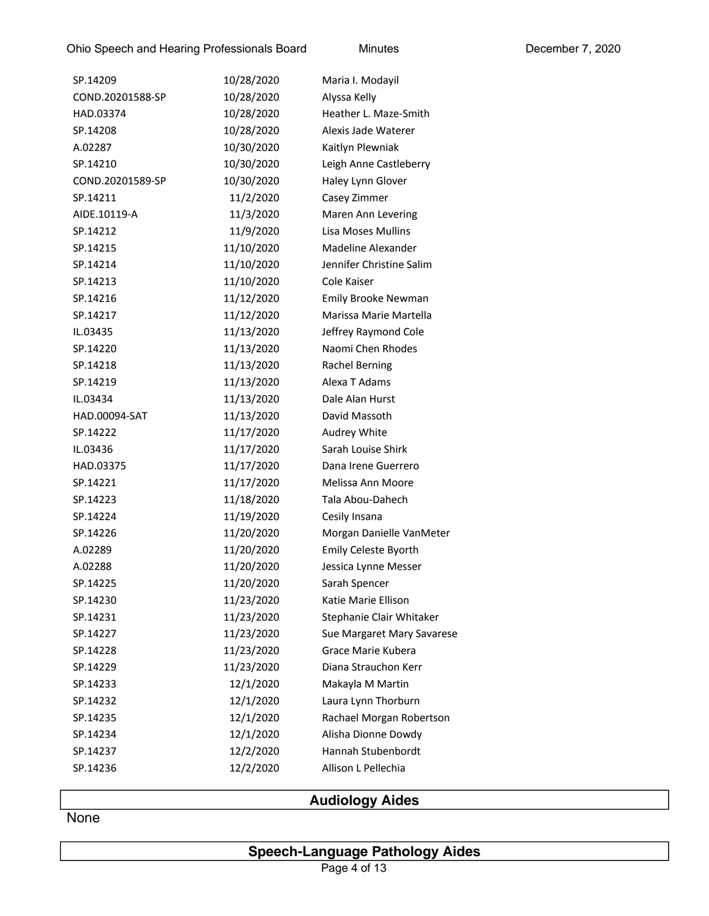| SP.14209         | 10/28/2020 | Maria I. Modayil           |
|------------------|------------|----------------------------|
| COND.20201588-SP | 10/28/2020 | Alyssa Kelly               |
| HAD.03374        | 10/28/2020 | Heather L. Maze-Smith      |
| SP.14208         | 10/28/2020 | Alexis Jade Waterer        |
| A.02287          | 10/30/2020 | Kaitlyn Plewniak           |
| SP.14210         | 10/30/2020 | Leigh Anne Castleberry     |
| COND.20201589-SP | 10/30/2020 | Haley Lynn Glover          |
| SP.14211         | 11/2/2020  | Casey Zimmer               |
| AIDE.10119-A     | 11/3/2020  | Maren Ann Levering         |
| SP.14212         | 11/9/2020  | Lisa Moses Mullins         |
| SP.14215         | 11/10/2020 | Madeline Alexander         |
| SP.14214         | 11/10/2020 | Jennifer Christine Salim   |
| SP.14213         | 11/10/2020 | Cole Kaiser                |
| SP.14216         | 11/12/2020 | Emily Brooke Newman        |
| SP.14217         | 11/12/2020 | Marissa Marie Martella     |
| IL.03435         | 11/13/2020 | Jeffrey Raymond Cole       |
| SP.14220         | 11/13/2020 | Naomi Chen Rhodes          |
| SP.14218         | 11/13/2020 | <b>Rachel Berning</b>      |
| SP.14219         | 11/13/2020 | Alexa T Adams              |
| IL.03434         | 11/13/2020 | Dale Alan Hurst            |
| HAD.00094-SAT    | 11/13/2020 | David Massoth              |
| SP.14222         | 11/17/2020 | Audrey White               |
| IL.03436         | 11/17/2020 | Sarah Louise Shirk         |
| HAD.03375        | 11/17/2020 | Dana Irene Guerrero        |
| SP.14221         | 11/17/2020 | Melissa Ann Moore          |
| SP.14223         | 11/18/2020 | Tala Abou-Dahech           |
| SP.14224         | 11/19/2020 | Cesily Insana              |
| SP.14226         | 11/20/2020 | Morgan Danielle VanMeter   |
| A.02289          | 11/20/2020 | Emily Celeste Byorth       |
| A.02288          | 11/20/2020 | Jessica Lynne Messer       |
| SP.14225         | 11/20/2020 | Sarah Spencer              |
| SP.14230         | 11/23/2020 | Katie Marie Ellison        |
| SP.14231         | 11/23/2020 | Stephanie Clair Whitaker   |
| SP.14227         | 11/23/2020 | Sue Margaret Mary Savarese |
| SP.14228         | 11/23/2020 | Grace Marie Kubera         |
| SP.14229         | 11/23/2020 | Diana Strauchon Kerr       |
| SP.14233         | 12/1/2020  | Makayla M Martin           |
| SP.14232         | 12/1/2020  | Laura Lynn Thorburn        |
| SP.14235         | 12/1/2020  | Rachael Morgan Robertson   |
| SP.14234         | 12/1/2020  | Alisha Dionne Dowdy        |
| SP.14237         | 12/2/2020  | Hannah Stubenbordt         |
| SP.14236         | 12/2/2020  | Allison L Pellechia        |
|                  |            |                            |

## **Audiology Aides**

**None** 

## **Speech-Language Pathology Aides**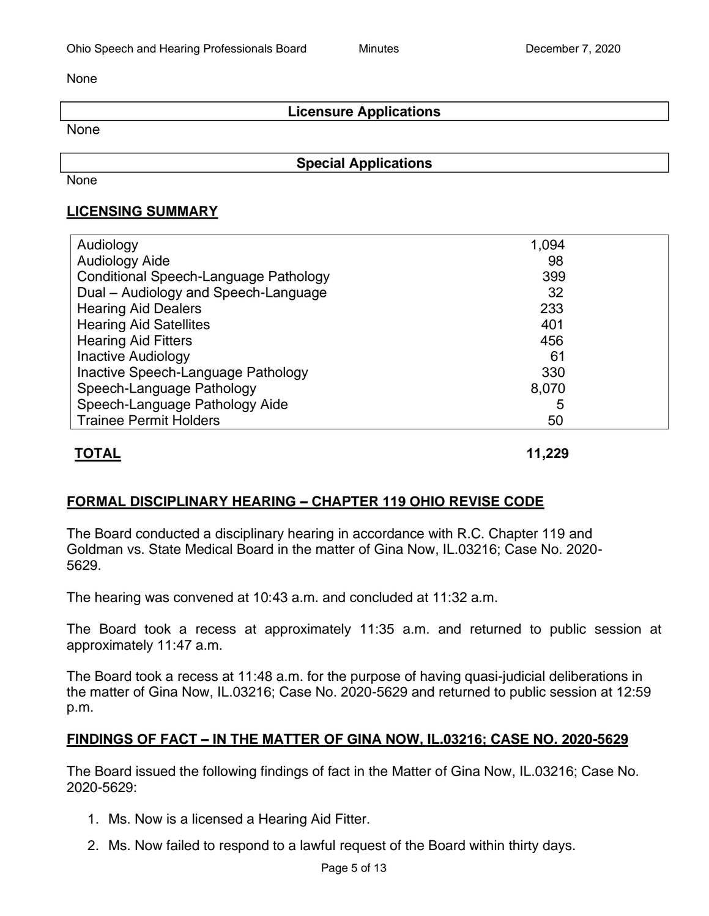None

## **Licensure Applications**

None

**Special Applications**

None

## **LICENSING SUMMARY**

| Audiology                             | 1,094 |  |
|---------------------------------------|-------|--|
| <b>Audiology Aide</b>                 | 98    |  |
| Conditional Speech-Language Pathology | 399   |  |
| Dual - Audiology and Speech-Language  | 32    |  |
| <b>Hearing Aid Dealers</b>            | 233   |  |
| <b>Hearing Aid Satellites</b>         | 401   |  |
| <b>Hearing Aid Fitters</b>            | 456   |  |
| <b>Inactive Audiology</b>             | 61    |  |
| Inactive Speech-Language Pathology    | 330   |  |
| Speech-Language Pathology             | 8,070 |  |
| Speech-Language Pathology Aide        | 5     |  |
| <b>Trainee Permit Holders</b>         | 50    |  |

## **TOTAL 11,229**

## **FORMAL DISCIPLINARY HEARING – CHAPTER 119 OHIO REVISE CODE**

The Board conducted a disciplinary hearing in accordance with R.C. Chapter 119 and Goldman vs. State Medical Board in the matter of Gina Now, IL.03216; Case No. 2020- 5629.

The hearing was convened at 10:43 a.m. and concluded at 11:32 a.m.

The Board took a recess at approximately 11:35 a.m. and returned to public session at approximately 11:47 a.m.

The Board took a recess at 11:48 a.m. for the purpose of having quasi-judicial deliberations in the matter of Gina Now, IL.03216; Case No. 2020-5629 and returned to public session at 12:59 p.m.

## **FINDINGS OF FACT – IN THE MATTER OF GINA NOW, IL.03216; CASE NO. 2020-5629**

The Board issued the following findings of fact in the Matter of Gina Now, IL.03216; Case No. 2020-5629:

- 1. Ms. Now is a licensed a Hearing Aid Fitter.
- 2. Ms. Now failed to respond to a lawful request of the Board within thirty days.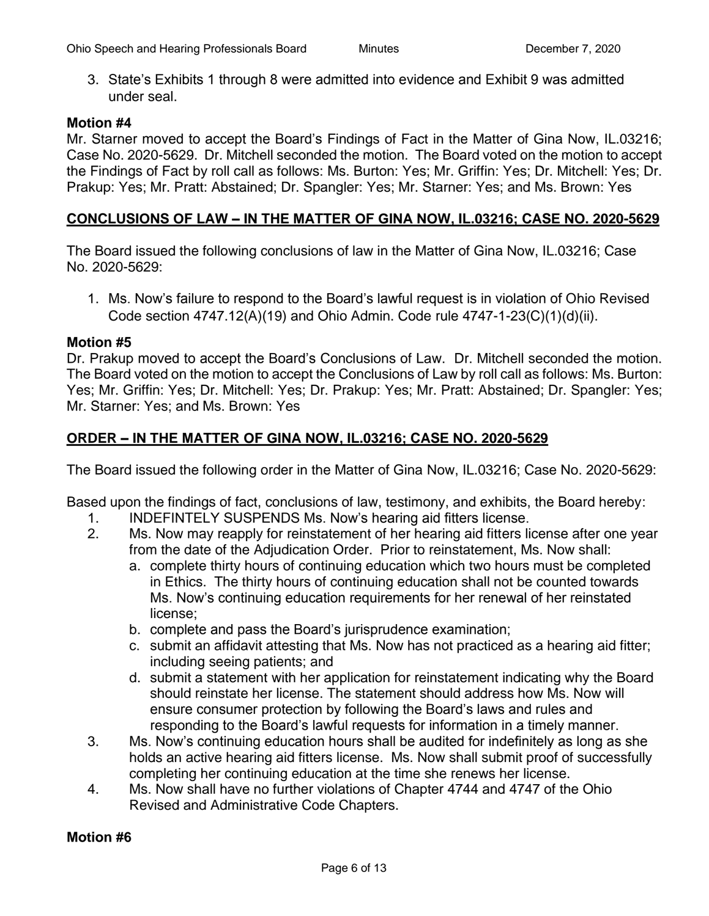3. State's Exhibits 1 through 8 were admitted into evidence and Exhibit 9 was admitted under seal.

#### **Motion #4**

Mr. Starner moved to accept the Board's Findings of Fact in the Matter of Gina Now, IL.03216; Case No. 2020-5629. Dr. Mitchell seconded the motion. The Board voted on the motion to accept the Findings of Fact by roll call as follows: Ms. Burton: Yes; Mr. Griffin: Yes; Dr. Mitchell: Yes; Dr. Prakup: Yes; Mr. Pratt: Abstained; Dr. Spangler: Yes; Mr. Starner: Yes; and Ms. Brown: Yes

#### **CONCLUSIONS OF LAW – IN THE MATTER OF GINA NOW, IL.03216; CASE NO. 2020-5629**

The Board issued the following conclusions of law in the Matter of Gina Now, IL.03216; Case No. 2020-5629:

1. Ms. Now's failure to respond to the Board's lawful request is in violation of Ohio Revised Code section 4747.12(A)(19) and Ohio Admin. Code rule 4747-1-23(C)(1)(d)(ii).

#### **Motion #5**

Dr. Prakup moved to accept the Board's Conclusions of Law. Dr. Mitchell seconded the motion. The Board voted on the motion to accept the Conclusions of Law by roll call as follows: Ms. Burton: Yes; Mr. Griffin: Yes; Dr. Mitchell: Yes; Dr. Prakup: Yes; Mr. Pratt: Abstained; Dr. Spangler: Yes; Mr. Starner: Yes; and Ms. Brown: Yes

#### **ORDER – IN THE MATTER OF GINA NOW, IL.03216; CASE NO. 2020-5629**

The Board issued the following order in the Matter of Gina Now, IL.03216; Case No. 2020-5629:

Based upon the findings of fact, conclusions of law, testimony, and exhibits, the Board hereby:

- 1. INDEFINTELY SUSPENDS Ms. Now's hearing aid fitters license.
- 2. Ms. Now may reapply for reinstatement of her hearing aid fitters license after one year from the date of the Adjudication Order. Prior to reinstatement, Ms. Now shall:
	- a. complete thirty hours of continuing education which two hours must be completed in Ethics. The thirty hours of continuing education shall not be counted towards Ms. Now's continuing education requirements for her renewal of her reinstated license;
	- b. complete and pass the Board's jurisprudence examination;
	- c. submit an affidavit attesting that Ms. Now has not practiced as a hearing aid fitter; including seeing patients; and
	- d. submit a statement with her application for reinstatement indicating why the Board should reinstate her license. The statement should address how Ms. Now will ensure consumer protection by following the Board's laws and rules and responding to the Board's lawful requests for information in a timely manner.
- 3. Ms. Now's continuing education hours shall be audited for indefinitely as long as she holds an active hearing aid fitters license. Ms. Now shall submit proof of successfully completing her continuing education at the time she renews her license.
- 4. Ms. Now shall have no further violations of Chapter 4744 and 4747 of the Ohio Revised and Administrative Code Chapters.

#### **Motion #6**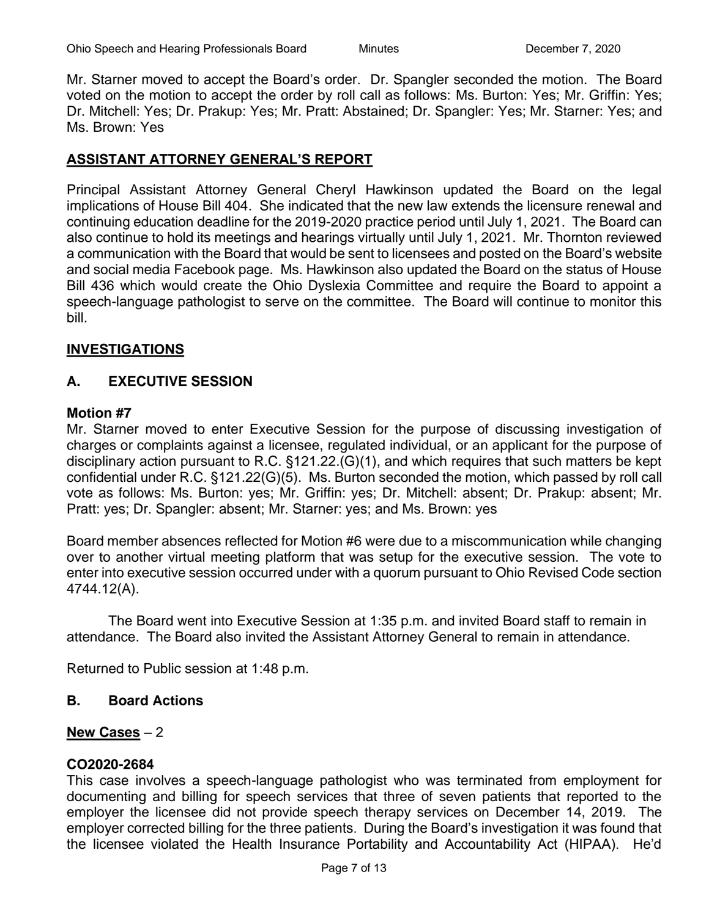Mr. Starner moved to accept the Board's order. Dr. Spangler seconded the motion. The Board voted on the motion to accept the order by roll call as follows: Ms. Burton: Yes; Mr. Griffin: Yes; Dr. Mitchell: Yes; Dr. Prakup: Yes; Mr. Pratt: Abstained; Dr. Spangler: Yes; Mr. Starner: Yes; and Ms. Brown: Yes

#### **ASSISTANT ATTORNEY GENERAL'S REPORT**

Principal Assistant Attorney General Cheryl Hawkinson updated the Board on the legal implications of House Bill 404. She indicated that the new law extends the licensure renewal and continuing education deadline for the 2019-2020 practice period until July 1, 2021. The Board can also continue to hold its meetings and hearings virtually until July 1, 2021. Mr. Thornton reviewed a communication with the Board that would be sent to licensees and posted on the Board's website and social media Facebook page. Ms. Hawkinson also updated the Board on the status of House Bill 436 which would create the Ohio Dyslexia Committee and require the Board to appoint a speech-language pathologist to serve on the committee. The Board will continue to monitor this bill.

#### **INVESTIGATIONS**

## **A. EXECUTIVE SESSION**

#### **Motion #7**

Mr. Starner moved to enter Executive Session for the purpose of discussing investigation of charges or complaints against a licensee, regulated individual, or an applicant for the purpose of disciplinary action pursuant to R.C. §121.22.(G)(1), and which requires that such matters be kept confidential under R.C. §121.22(G)(5). Ms. Burton seconded the motion, which passed by roll call vote as follows: Ms. Burton: yes; Mr. Griffin: yes; Dr. Mitchell: absent; Dr. Prakup: absent; Mr. Pratt: yes; Dr. Spangler: absent; Mr. Starner: yes; and Ms. Brown: yes

Board member absences reflected for Motion #6 were due to a miscommunication while changing over to another virtual meeting platform that was setup for the executive session. The vote to enter into executive session occurred under with a quorum pursuant to Ohio Revised Code section 4744.12(A).

The Board went into Executive Session at 1:35 p.m. and invited Board staff to remain in attendance. The Board also invited the Assistant Attorney General to remain in attendance.

Returned to Public session at 1:48 p.m.

#### **B. Board Actions**

#### **New Cases** – 2

#### **CO2020-2684**

This case involves a speech-language pathologist who was terminated from employment for documenting and billing for speech services that three of seven patients that reported to the employer the licensee did not provide speech therapy services on December 14, 2019. The employer corrected billing for the three patients. During the Board's investigation it was found that the licensee violated the Health Insurance Portability and Accountability Act (HIPAA). He'd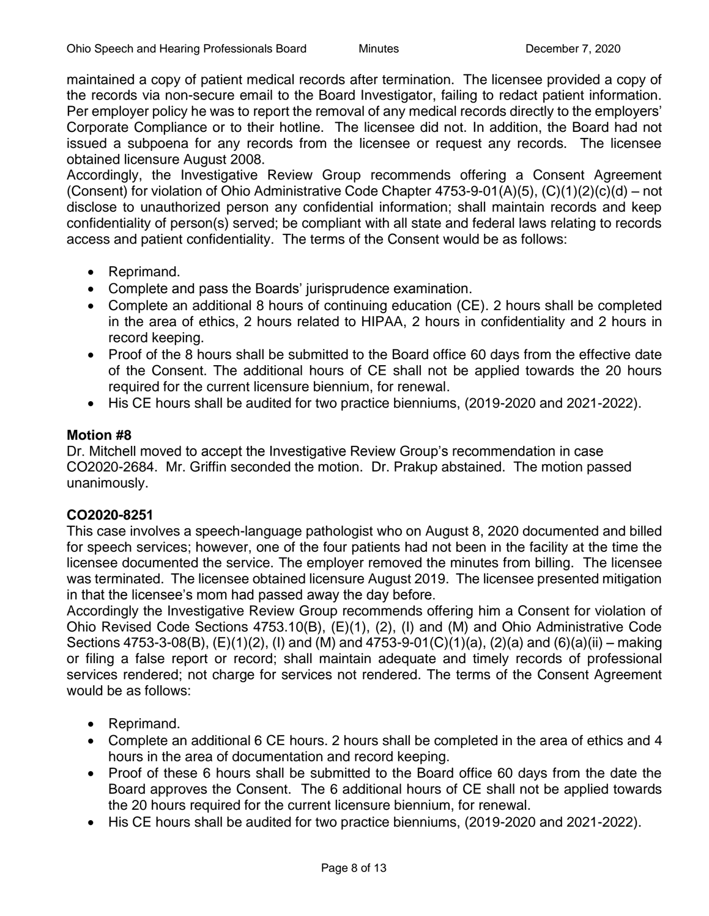maintained a copy of patient medical records after termination. The licensee provided a copy of the records via non-secure email to the Board Investigator, failing to redact patient information. Per employer policy he was to report the removal of any medical records directly to the employers' Corporate Compliance or to their hotline. The licensee did not. In addition, the Board had not issued a subpoena for any records from the licensee or request any records. The licensee obtained licensure August 2008.

Accordingly, the Investigative Review Group recommends offering a Consent Agreement (Consent) for violation of Ohio Administrative Code Chapter  $4753-9-01(A)(5)$ ,  $(C)(1)(2)(c)(d) - not$ disclose to unauthorized person any confidential information; shall maintain records and keep confidentiality of person(s) served; be compliant with all state and federal laws relating to records access and patient confidentiality. The terms of the Consent would be as follows:

- Reprimand.
- Complete and pass the Boards' jurisprudence examination.
- Complete an additional 8 hours of continuing education (CE). 2 hours shall be completed in the area of ethics, 2 hours related to HIPAA, 2 hours in confidentiality and 2 hours in record keeping.
- Proof of the 8 hours shall be submitted to the Board office 60 days from the effective date of the Consent. The additional hours of CE shall not be applied towards the 20 hours required for the current licensure biennium, for renewal.
- His CE hours shall be audited for two practice bienniums, (2019-2020 and 2021-2022).

#### **Motion #8**

Dr. Mitchell moved to accept the Investigative Review Group's recommendation in case CO2020-2684. Mr. Griffin seconded the motion. Dr. Prakup abstained. The motion passed unanimously.

#### **CO2020-8251**

This case involves a speech-language pathologist who on August 8, 2020 documented and billed for speech services; however, one of the four patients had not been in the facility at the time the licensee documented the service. The employer removed the minutes from billing. The licensee was terminated. The licensee obtained licensure August 2019. The licensee presented mitigation in that the licensee's mom had passed away the day before.

Accordingly the Investigative Review Group recommends offering him a Consent for violation of Ohio Revised Code Sections 4753.10(B), (E)(1), (2), (I) and (M) and Ohio Administrative Code Sections 4753-3-08(B), (E)(1)(2), (I) and (M) and 4753-9-01(C)(1)(a), (2)(a) and (6)(a)(ii) – making or filing a false report or record; shall maintain adequate and timely records of professional services rendered; not charge for services not rendered. The terms of the Consent Agreement would be as follows:

- Reprimand.
- Complete an additional 6 CE hours. 2 hours shall be completed in the area of ethics and 4 hours in the area of documentation and record keeping.
- Proof of these 6 hours shall be submitted to the Board office 60 days from the date the Board approves the Consent. The 6 additional hours of CE shall not be applied towards the 20 hours required for the current licensure biennium, for renewal.
- His CE hours shall be audited for two practice bienniums, (2019-2020 and 2021-2022).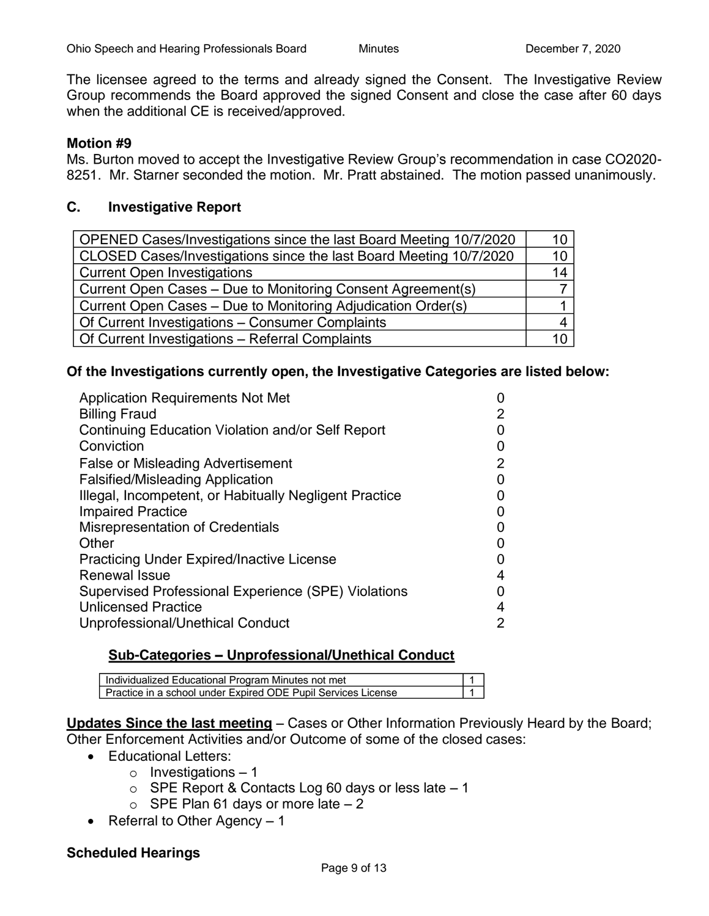The licensee agreed to the terms and already signed the Consent. The Investigative Review Group recommends the Board approved the signed Consent and close the case after 60 days when the additional CE is received/approved.

#### **Motion #9**

Ms. Burton moved to accept the Investigative Review Group's recommendation in case CO2020- 8251. Mr. Starner seconded the motion. Mr. Pratt abstained. The motion passed unanimously.

#### **C. Investigative Report**

| OPENED Cases/Investigations since the last Board Meeting 10/7/2020 | 10 |
|--------------------------------------------------------------------|----|
| CLOSED Cases/Investigations since the last Board Meeting 10/7/2020 | 10 |
| <b>Current Open Investigations</b>                                 | 14 |
| Current Open Cases - Due to Monitoring Consent Agreement(s)        |    |
| Current Open Cases - Due to Monitoring Adjudication Order(s)       |    |
| Of Current Investigations - Consumer Complaints                    |    |
| Of Current Investigations - Referral Complaints                    | 10 |

#### **Of the Investigations currently open, the Investigative Categories are listed below:**

| <b>Application Requirements Not Met</b>                |   |
|--------------------------------------------------------|---|
| <b>Billing Fraud</b>                                   | 2 |
| Continuing Education Violation and/or Self Report      |   |
| Conviction                                             |   |
| <b>False or Misleading Advertisement</b>               | 2 |
| <b>Falsified/Misleading Application</b>                |   |
| Illegal, Incompetent, or Habitually Negligent Practice |   |
| <b>Impaired Practice</b>                               |   |
| <b>Misrepresentation of Credentials</b>                |   |
| Other                                                  |   |
| <b>Practicing Under Expired/Inactive License</b>       |   |
| Renewal Issue                                          | 4 |
| Supervised Professional Experience (SPE) Violations    |   |
| <b>Unlicensed Practice</b>                             | 4 |
| Unprofessional/Unethical Conduct                       | 2 |

#### **Sub-Categories – Unprofessional/Unethical Conduct**

| Individualized Educational Program Minutes not met            |  |
|---------------------------------------------------------------|--|
| Practice in a school under Expired ODE Pupil Services License |  |

**Updates Since the last meeting** – Cases or Other Information Previously Heard by the Board; Other Enforcement Activities and/or Outcome of some of the closed cases:

- Educational Letters:
	- $\circ$  Investigations 1
	- $\circ$  SPE Report & Contacts Log 60 days or less late  $-1$
	- $\circ$  SPE Plan 61 days or more late  $-2$
- Referral to Other Agency 1

#### **Scheduled Hearings**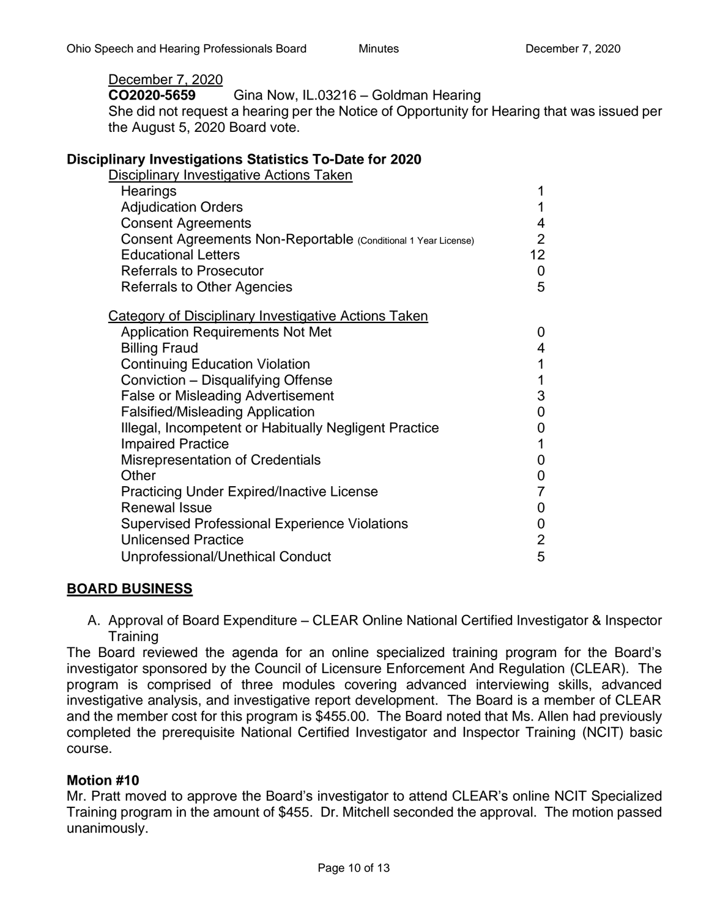## December 7, 2020

**CO2020-5659** Gina Now, IL.03216 – Goldman Hearing

She did not request a hearing per the Notice of Opportunity for Hearing that was issued per the August 5, 2020 Board vote.

#### **Disciplinary Investigations Statistics To-Date for 2020**

| <b>Disciplinary Investigative Actions Taken</b>                |                 |
|----------------------------------------------------------------|-----------------|
| Hearings                                                       | 1               |
| <b>Adjudication Orders</b>                                     | 1               |
| <b>Consent Agreements</b>                                      | 4               |
| Consent Agreements Non-Reportable (Conditional 1 Year License) | $\overline{2}$  |
| <b>Educational Letters</b>                                     | 12 <sub>2</sub> |
| <b>Referrals to Prosecutor</b>                                 | 0               |
| <b>Referrals to Other Agencies</b>                             | 5               |
| <b>Category of Disciplinary Investigative Actions Taken</b>    |                 |
| <b>Application Requirements Not Met</b>                        | 0               |
| <b>Billing Fraud</b>                                           | 4               |
| <b>Continuing Education Violation</b>                          | 1               |
| Conviction - Disqualifying Offense                             | 1               |
| <b>False or Misleading Advertisement</b>                       | 3               |
| <b>Falsified/Misleading Application</b>                        | 0               |
| Illegal, Incompetent or Habitually Negligent Practice          | 0               |
| <b>Impaired Practice</b>                                       | 1               |
| <b>Misrepresentation of Credentials</b>                        | 0               |
| Other                                                          | 0               |
| <b>Practicing Under Expired/Inactive License</b>               | 7               |
| <b>Renewal Issue</b>                                           | 0               |
| <b>Supervised Professional Experience Violations</b>           | 0               |
| <b>Unlicensed Practice</b>                                     | $\overline{2}$  |
| Unprofessional/Unethical Conduct                               | 5               |

#### **BOARD BUSINESS**

A. Approval of Board Expenditure – CLEAR Online National Certified Investigator & Inspector **Training** 

The Board reviewed the agenda for an online specialized training program for the Board's investigator sponsored by the Council of Licensure Enforcement And Regulation (CLEAR). The program is comprised of three modules covering advanced interviewing skills, advanced investigative analysis, and investigative report development. The Board is a member of CLEAR and the member cost for this program is \$455.00. The Board noted that Ms. Allen had previously completed the prerequisite National Certified Investigator and Inspector Training (NCIT) basic course.

#### **Motion #10**

Mr. Pratt moved to approve the Board's investigator to attend CLEAR's online NCIT Specialized Training program in the amount of \$455. Dr. Mitchell seconded the approval. The motion passed unanimously.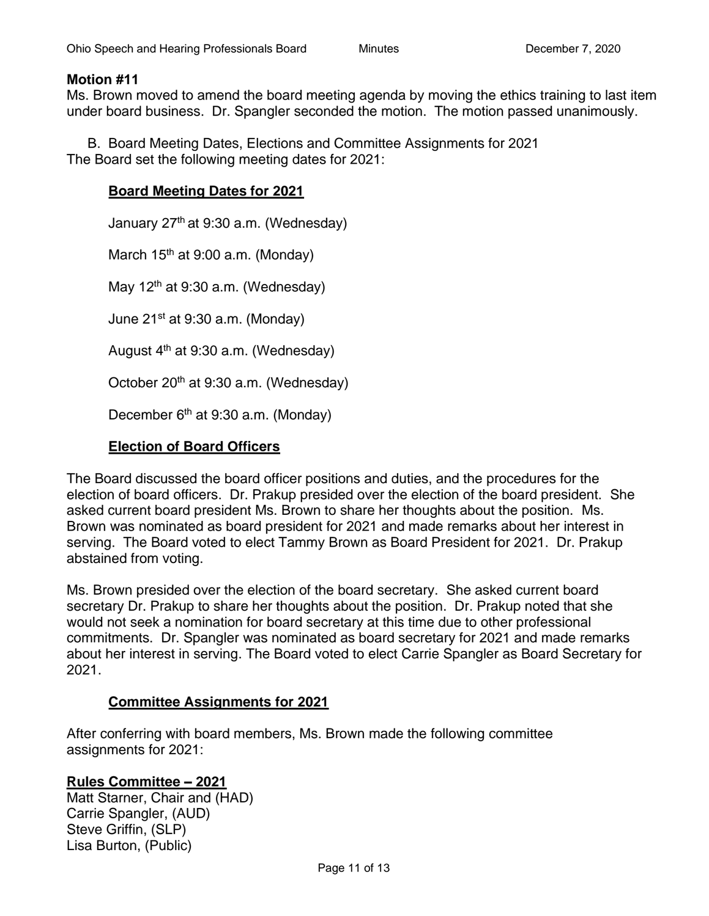#### **Motion #11**

Ms. Brown moved to amend the board meeting agenda by moving the ethics training to last item under board business. Dr. Spangler seconded the motion. The motion passed unanimously.

B. Board Meeting Dates, Elections and Committee Assignments for 2021 The Board set the following meeting dates for 2021:

#### **Board Meeting Dates for 2021**

January 27<sup>th</sup> at 9:30 a.m. (Wednesday) March  $15<sup>th</sup>$  at 9:00 a.m. (Monday) May  $12<sup>th</sup>$  at 9:30 a.m. (Wednesday) June  $21^{st}$  at 9:30 a.m. (Monday) August 4<sup>th</sup> at 9:30 a.m. (Wednesday) October 20<sup>th</sup> at 9:30 a.m. (Wednesday) December 6<sup>th</sup> at 9:30 a.m. (Monday)

#### **Election of Board Officers**

The Board discussed the board officer positions and duties, and the procedures for the election of board officers. Dr. Prakup presided over the election of the board president. She asked current board president Ms. Brown to share her thoughts about the position. Ms. Brown was nominated as board president for 2021 and made remarks about her interest in serving. The Board voted to elect Tammy Brown as Board President for 2021. Dr. Prakup abstained from voting.

Ms. Brown presided over the election of the board secretary. She asked current board secretary Dr. Prakup to share her thoughts about the position. Dr. Prakup noted that she would not seek a nomination for board secretary at this time due to other professional commitments. Dr. Spangler was nominated as board secretary for 2021 and made remarks about her interest in serving. The Board voted to elect Carrie Spangler as Board Secretary for 2021.

#### **Committee Assignments for 2021**

After conferring with board members, Ms. Brown made the following committee assignments for 2021:

#### **Rules Committee – 2021**

Matt Starner, Chair and (HAD) Carrie Spangler, (AUD) Steve Griffin, (SLP) Lisa Burton, (Public)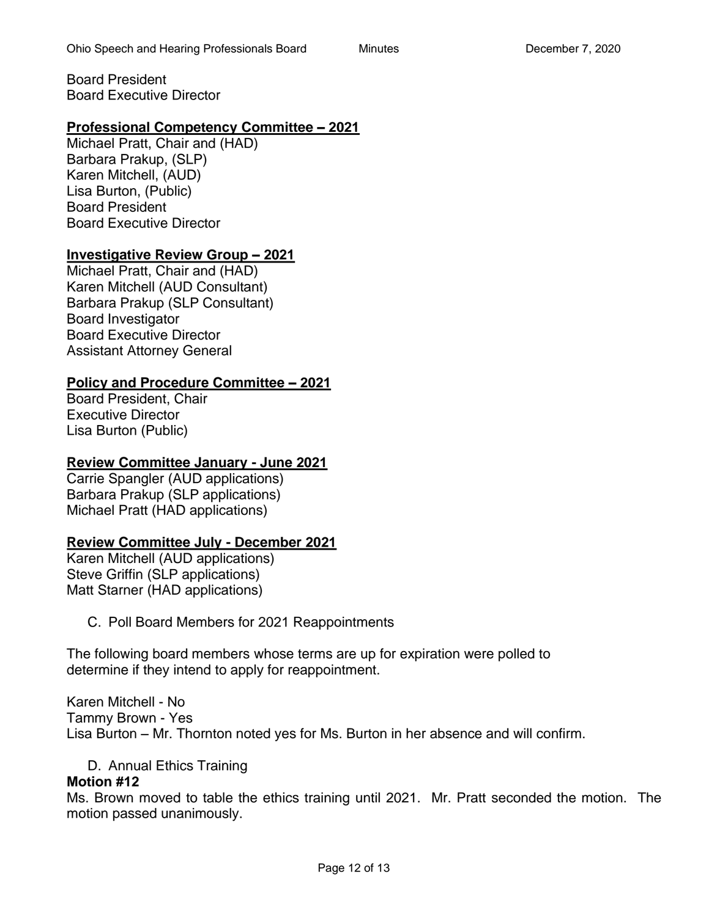Board President Board Executive Director

## **Professional Competency Committee – 2021**

Michael Pratt, Chair and (HAD) Barbara Prakup, (SLP) Karen Mitchell, (AUD) Lisa Burton, (Public) Board President Board Executive Director

## **Investigative Review Group – 2021**

Michael Pratt, Chair and (HAD) Karen Mitchell (AUD Consultant) Barbara Prakup (SLP Consultant) Board Investigator Board Executive Director Assistant Attorney General

## **Policy and Procedure Committee – 2021**

Board President, Chair Executive Director Lisa Burton (Public)

## **Review Committee January - June 2021**

Carrie Spangler (AUD applications) Barbara Prakup (SLP applications) Michael Pratt (HAD applications)

## **Review Committee July - December 2021**

Karen Mitchell (AUD applications) Steve Griffin (SLP applications) Matt Starner (HAD applications)

C. Poll Board Members for 2021 Reappointments

The following board members whose terms are up for expiration were polled to determine if they intend to apply for reappointment.

Karen Mitchell - No Tammy Brown - Yes Lisa Burton – Mr. Thornton noted yes for Ms. Burton in her absence and will confirm.

D. Annual Ethics Training

## **Motion #12**

Ms. Brown moved to table the ethics training until 2021. Mr. Pratt seconded the motion. The motion passed unanimously.